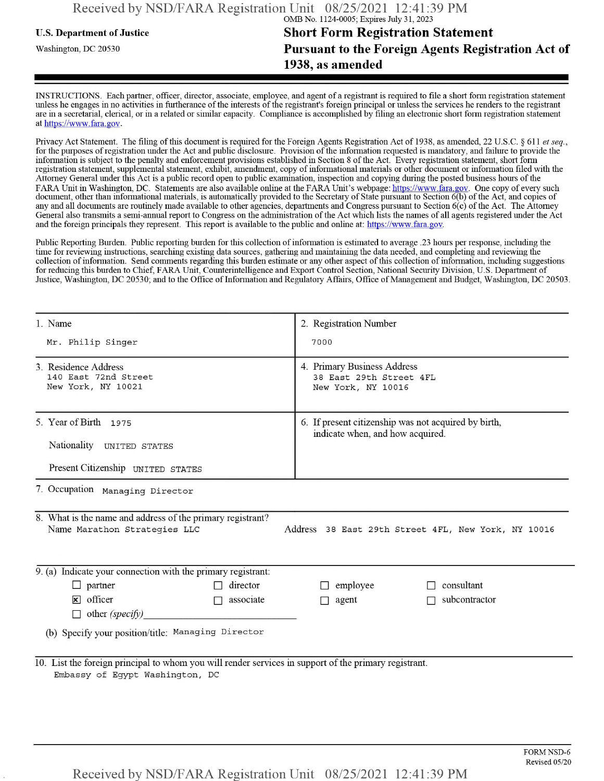## **u.s.** Department ofJustice **Short Form Registration Statement** Washington, dc <sup>20530</sup>**Pursuant to the Foreign Agents Registration Act of 1938, as amended**

INSTRUCTIONS. Each partner, officer, director, associate, employee, and agent of a registrant is required to file a short form registration statement unless he engages in no activities in furtherance ofthe interests ofthe registrant's foreign principal or unless the services he renders to the registrant are in a secretarial, clerical, or in a related or similar capacity. Compliance is accomplished by filing an electronic short form registration statement at https://www.fara.gov.

Privacy Act Statement. The filing of this document is required for the Foreign Agents Registration Act of 1938, as amended, 22 U.S.C. § 611 et seq., for the purposes ofregistration under the Act and public disclosure. Provision ofthe information requested is mandatory, and failure to provide the information is subject to the penalty and enforcement provisions established in Section 8 ofthe Act. Every registration statement, short form registration statement, supplemental statement, exhibit, amendment, copy ofinformational materials or other document or information filed with the Attorney General under this Act is a public record open to public examination, inspection and copying during the posted business hours ofthe FARA Unit in Washington, DC. Statements are also available online at the FARA Unit's webpage: https://www.fara.gov. One copy of every such document, other than informational materials, is automatically provided to the Secretary of State pursuant to Section 6(b) of the Act, and copies of any and all documents are routinely made available to other agencies, departments and Congress pursuant to Section 6(c) ofthe Act. The Attorney General also transmits a semi-annual report to Congress on the administration ofthe Act which lists the names of all agents registered under the Act and the foreign principals they represent. This report is available to the public and online at: https://www.fara.gov.

Public Reporting Burden. Public reporting burden for this collection ofinformation is estimated to average .23 hours per response, including the time for reviewing instructions, searching existing data sources, gathering and maintaining the data needed, and completing and reviewing the collection of information. Send comments regarding this burden estimate or any other aspect of this collection of information, including suggestions for reducing this burden to Chief, FARA Unit, Counterintelligence and Export Control Section, National Security Division, U.S. Department of Justice, Washington, DC 20530; and to the Office of Information and Regulatory Affairs, Office of Management and Budget, Washington, DC 20503.

| 1. Name                                                                                                                                           | 2. Registration Number                                                                   |  |  |  |  |
|---------------------------------------------------------------------------------------------------------------------------------------------------|------------------------------------------------------------------------------------------|--|--|--|--|
| Mr. Philip Singer                                                                                                                                 | 7000                                                                                     |  |  |  |  |
| 3. Residence Address<br>140 East 72nd Street<br>New York, NY 10021                                                                                | 4. Primary Business Address<br>38 East 29th Street 4FL<br>New York, NY 10016             |  |  |  |  |
| 5. Year of Birth 1975<br>Nationality UNITED STATES<br>Present Citizenship UNITED STATES                                                           | 6. If present citizenship was not acquired by birth,<br>indicate when, and how acquired. |  |  |  |  |
| 7. Occupation Managing Director                                                                                                                   |                                                                                          |  |  |  |  |
| 8. What is the name and address of the primary registrant?<br>Name Marathon Strategies LLC<br>Address 38 East 29th Street 4FL, New York, NY 10016 |                                                                                          |  |  |  |  |
| 9. (a) Indicate your connection with the primary registrant:                                                                                      |                                                                                          |  |  |  |  |
| $\Box$ partner<br>$\Box$ director                                                                                                                 | $\Box$ employee<br>consultant                                                            |  |  |  |  |
| $\mathbf{\times}$ officer<br>associate<br>$\Box$<br>$\Box$ other (specify)                                                                        | $\Box$ agent<br>subcontractor                                                            |  |  |  |  |
| (b) Specify your position/title: Managing Director                                                                                                |                                                                                          |  |  |  |  |
| 10. List the foreign principal to whom you will render services in support of the primary registrant.<br>Embassy of Egypt Washington, DC          |                                                                                          |  |  |  |  |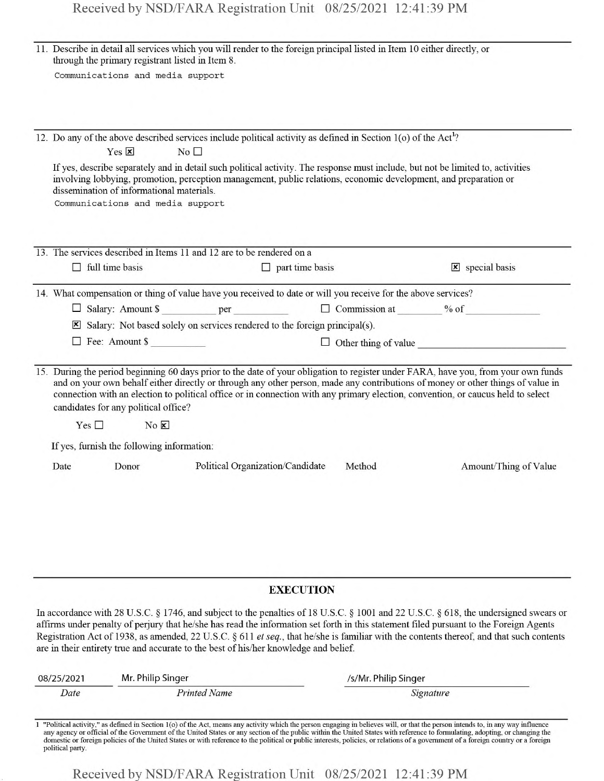| 11. Describe in detail all services which you will render to the foreign principal listed in Item 10 either directly, or<br>through the primary registrant listed in Item 8.                      |                                                                            |                                  |                      |                                                                                                                                                                                                                                                                                                                                                                                                                            |
|---------------------------------------------------------------------------------------------------------------------------------------------------------------------------------------------------|----------------------------------------------------------------------------|----------------------------------|----------------------|----------------------------------------------------------------------------------------------------------------------------------------------------------------------------------------------------------------------------------------------------------------------------------------------------------------------------------------------------------------------------------------------------------------------------|
| Communications and media support                                                                                                                                                                  |                                                                            |                                  |                      |                                                                                                                                                                                                                                                                                                                                                                                                                            |
|                                                                                                                                                                                                   |                                                                            |                                  |                      |                                                                                                                                                                                                                                                                                                                                                                                                                            |
|                                                                                                                                                                                                   |                                                                            |                                  |                      |                                                                                                                                                                                                                                                                                                                                                                                                                            |
| 12. Do any of the above described services include political activity as defined in Section 1(o) of the Act <sup>1</sup> ?                                                                        |                                                                            |                                  |                      |                                                                                                                                                                                                                                                                                                                                                                                                                            |
| $Yes \n  x$                                                                                                                                                                                       | No                                                                         |                                  |                      |                                                                                                                                                                                                                                                                                                                                                                                                                            |
| involving lobbying, promotion, perception management, public relations, economic development, and preparation or<br>dissemination of informational materials.<br>Communications and media support |                                                                            |                                  |                      | If yes, describe separately and in detail such political activity. The response must include, but not be limited to, activities                                                                                                                                                                                                                                                                                            |
|                                                                                                                                                                                                   |                                                                            |                                  |                      |                                                                                                                                                                                                                                                                                                                                                                                                                            |
| 13. The services described in Items 11 and 12 are to be rendered on a                                                                                                                             |                                                                            |                                  |                      |                                                                                                                                                                                                                                                                                                                                                                                                                            |
| $\Box$ full time basis                                                                                                                                                                            |                                                                            | $\Box$ part time basis           |                      | $\mathbf{\times}$ special basis                                                                                                                                                                                                                                                                                                                                                                                            |
| 14. What compensation or thing of value have you received to date or will you receive for the above services?                                                                                     |                                                                            |                                  |                      |                                                                                                                                                                                                                                                                                                                                                                                                                            |
|                                                                                                                                                                                                   |                                                                            |                                  |                      | □ Salary: Amount \$ ___________ per ___________ □ Commission at _______ % of ___________                                                                                                                                                                                                                                                                                                                                   |
|                                                                                                                                                                                                   | Salary: Not based solely on services rendered to the foreign principal(s). |                                  |                      |                                                                                                                                                                                                                                                                                                                                                                                                                            |
| $\Box$ Fee: Amount \$                                                                                                                                                                             |                                                                            |                                  |                      | $\Box$ Other thing of value                                                                                                                                                                                                                                                                                                                                                                                                |
| candidates for any political office?<br>$Yes \Box$                                                                                                                                                | $No \times$                                                                |                                  |                      | and on your own behalf either directly or through any other person, made any contributions of money or other things of value in<br>connection with an election to political office or in connection with any primary election, convention, or caucus held to select                                                                                                                                                        |
| If yes, furnish the following information:                                                                                                                                                        |                                                                            |                                  |                      |                                                                                                                                                                                                                                                                                                                                                                                                                            |
| Date<br>Donor                                                                                                                                                                                     |                                                                            | Political Organization/Candidate | Method               | Amount/Thing of Value                                                                                                                                                                                                                                                                                                                                                                                                      |
|                                                                                                                                                                                                   |                                                                            |                                  |                      |                                                                                                                                                                                                                                                                                                                                                                                                                            |
|                                                                                                                                                                                                   |                                                                            | <b>EXECUTION</b>                 |                      |                                                                                                                                                                                                                                                                                                                                                                                                                            |
| are in their entirety true and accurate to the best of his/her knowledge and belief.                                                                                                              |                                                                            |                                  |                      | In accordance with 28 U.S.C. § 1746, and subject to the penalties of 18 U.S.C. § 1001 and 22 U.S.C. § 618, the undersigned swears or<br>affirms under penalty of perjury that he/she has read the information set forth in this statement filed pursuant to the Foreign Agents<br>Registration Act of 1938, as amended, 22 U.S.C. § 611 et seq., that he/she is familiar with the contents thereof, and that such contents |
| 08/25/2021                                                                                                                                                                                        | Mr. Philip Singer                                                          |                                  | /s/Mr. Philip Singer |                                                                                                                                                                                                                                                                                                                                                                                                                            |

| 08/25/2021<br>Mr. Philip Singer |                     | /s/Mr. Philip Singer                                                                                                                                                       |  |
|---------------------------------|---------------------|----------------------------------------------------------------------------------------------------------------------------------------------------------------------------|--|
| Date                            | <b>Printed Name</b> | Signature                                                                                                                                                                  |  |
|                                 |                     |                                                                                                                                                                            |  |
|                                 |                     | 1 "Political activity," as defined in Section 1(o) of the Act, means any activity which the person engaging in believes will, or that the person intends to, in any way in |  |

1 "Political activity," as defined in Section 1(o) of the Act, means any activity which the person engaging in believes will, or that the person intends to, in any way influence any agency or official of the Government of political party.

Received by NSD/FARA Registration Unit 08/25/2021 12:41:39 PM